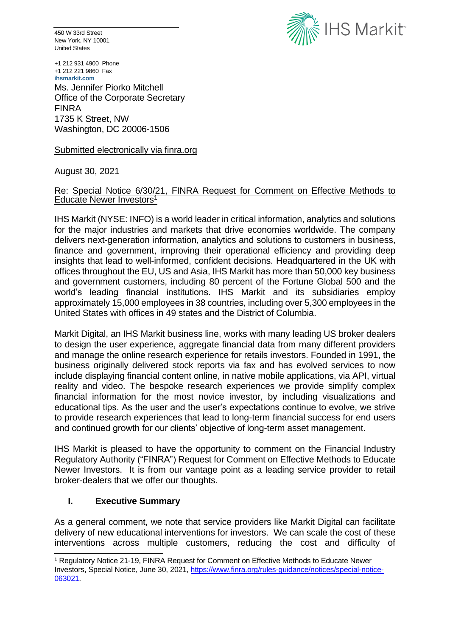450 W 33rd Street New York, NY 10001 United States



+1 212 931 4900 Phone +1 212 221 9860 Fax **ihsmarkit.com** Ms. Jennifer Piorko Mitchell Office of the Corporate Secretary FINRA 1735 K Street, NW Washington, DC 20006-1506

Submitted electronically via finra.org

August 30, 2021

## Re: Special Notice 6/30/21, FINRA Request for Comment on Effective Methods to Educate Newer Investors 1

IHS Markit (NYSE: INFO) is a world leader in critical information, analytics and solutions for the major industries and markets that drive economies worldwide. The company delivers next-generation information, analytics and solutions to customers in business, finance and government, improving their operational efficiency and providing deep insights that lead to well-informed, confident decisions. Headquartered in the UK with offices throughout the EU, US and Asia, IHS Markit has more than 50,000 key business and government customers, including 80 percent of the Fortune Global 500 and the world's leading financial institutions. IHS Markit and its subsidiaries employ approximately 15,000 employees in 38 countries, including over 5,300 employees in the United States with offices in 49 states and the District of Columbia.

Markit Digital, an IHS Markit business line, works with many leading US broker dealers to design the user experience, aggregate financial data from many different providers and manage the online research experience for retails investors. Founded in 1991, the business originally delivered stock reports via fax and has evolved services to now include displaying financial content online, in native mobile applications, via API, virtual reality and video. The bespoke research experiences we provide simplify complex financial information for the most novice investor, by including visualizations and educational tips. As the user and the user's expectations continue to evolve, we strive to provide research experiences that lead to long-term financial success for end users and continued growth for our clients' objective of long-term asset management.

IHS Markit is pleased to have the opportunity to comment on the Financial Industry Regulatory Authority ("FINRA") Request for Comment on Effective Methods to Educate Newer Investors. It is from our vantage point as a leading service provider to retail broker-dealers that we offer our thoughts.

## **I. Executive Summary**

As a general comment, we note that service providers like Markit Digital can facilitate delivery of new educational interventions for investors. We can scale the cost of these interventions across multiple customers, reducing the cost and difficulty of

<sup>1</sup> Regulatory Notice 21-19, FINRA Request for Comment on Effective Methods to Educate Newer Investors, Special Notice, June 30, 2021, [https://www.finra.org/rules-guidance/notices/special-notice-](https://www.finra.org/rules-guidance/notices/special-notice-063021)[063021.](https://www.finra.org/rules-guidance/notices/special-notice-063021)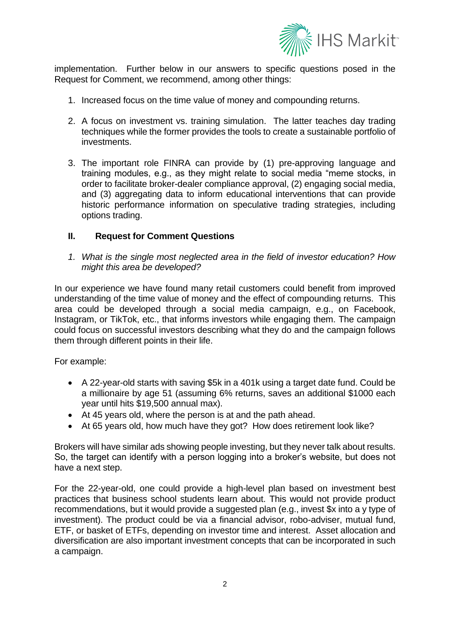

implementation. Further below in our answers to specific questions posed in the Request for Comment, we recommend, among other things:

- 1. Increased focus on the time value of money and compounding returns.
- 2. A focus on investment vs. training simulation. The latter teaches day trading techniques while the former provides the tools to create a sustainable portfolio of investments.
- 3. The important role FINRA can provide by (1) pre-approving language and training modules, e.g., as they might relate to social media "meme stocks, in order to facilitate broker-dealer compliance approval, (2) engaging social media, and (3) aggregating data to inform educational interventions that can provide historic performance information on speculative trading strategies, including options trading.

## **II. Request for Comment Questions**

*1. What is the single most neglected area in the field of investor education? How might this area be developed?* 

In our experience we have found many retail customers could benefit from improved understanding of the time value of money and the effect of compounding returns. This area could be developed through a social media campaign, e.g., on Facebook, Instagram, or TikTok, etc., that informs investors while engaging them. The campaign could focus on successful investors describing what they do and the campaign follows them through different points in their life.

For example:

- A 22-year-old starts with saving \$5k in a 401k using a target date fund. Could be a millionaire by age 51 (assuming 6% returns, saves an additional \$1000 each year until hits \$19,500 annual max).
- At 45 years old, where the person is at and the path ahead.
- At 65 years old, how much have they got? How does retirement look like?

Brokers will have similar ads showing people investing, but they never talk about results. So, the target can identify with a person logging into a broker's website, but does not have a next step.

For the 22-year-old, one could provide a high-level plan based on investment best practices that business school students learn about. This would not provide product recommendations, but it would provide a suggested plan (e.g., invest \$x into a y type of investment). The product could be via a financial advisor, robo-adviser, mutual fund, ETF, or basket of ETFs, depending on investor time and interest. Asset allocation and diversification are also important investment concepts that can be incorporated in such a campaign.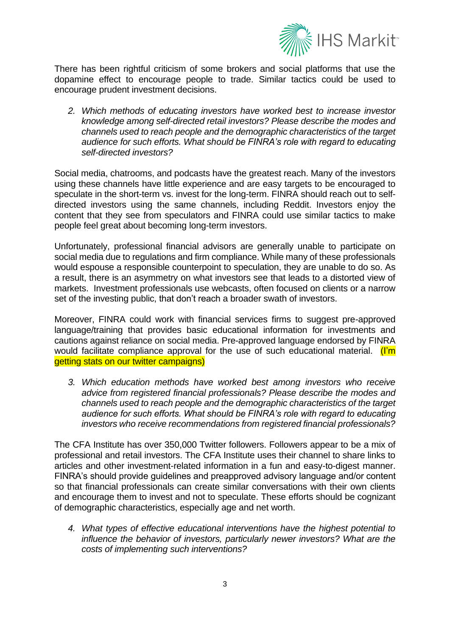

There has been rightful criticism of some brokers and social platforms that use the dopamine effect to encourage people to trade. Similar tactics could be used to encourage prudent investment decisions.

*2. Which methods of educating investors have worked best to increase investor knowledge among self-directed retail investors? Please describe the modes and channels used to reach people and the demographic characteristics of the target audience for such efforts. What should be FINRA's role with regard to educating self-directed investors?* 

Social media, chatrooms, and podcasts have the greatest reach. Many of the investors using these channels have little experience and are easy targets to be encouraged to speculate in the short-term vs. invest for the long-term. FINRA should reach out to selfdirected investors using the same channels, including Reddit. Investors enjoy the content that they see from speculators and FINRA could use similar tactics to make people feel great about becoming long-term investors.

Unfortunately, professional financial advisors are generally unable to participate on social media due to regulations and firm compliance. While many of these professionals would espouse a responsible counterpoint to speculation, they are unable to do so. As a result, there is an asymmetry on what investors see that leads to a distorted view of markets. Investment professionals use webcasts, often focused on clients or a narrow set of the investing public, that don't reach a broader swath of investors.

Moreover, FINRA could work with financial services firms to suggest pre-approved language/training that provides basic educational information for investments and cautions against reliance on social media. Pre-approved language endorsed by FINRA would facilitate compliance approval for the use of such educational material. (I'm getting stats on our twitter campaigns)

*3. Which education methods have worked best among investors who receive advice from registered financial professionals? Please describe the modes and channels used to reach people and the demographic characteristics of the target audience for such efforts. What should be FINRA's role with regard to educating investors who receive recommendations from registered financial professionals?* 

The CFA Institute has over 350,000 Twitter followers. Followers appear to be a mix of professional and retail investors. The CFA Institute uses their channel to share links to articles and other investment-related information in a fun and easy-to-digest manner. FINRA's should provide guidelines and preapproved advisory language and/or content so that financial professionals can create similar conversations with their own clients and encourage them to invest and not to speculate. These efforts should be cognizant of demographic characteristics, especially age and net worth.

*4. What types of effective educational interventions have the highest potential to influence the behavior of investors, particularly newer investors? What are the costs of implementing such interventions?*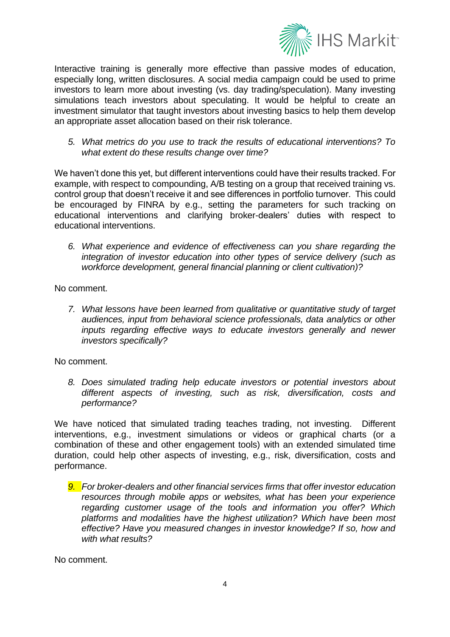

Interactive training is generally more effective than passive modes of education, especially long, written disclosures. A social media campaign could be used to prime investors to learn more about investing (vs. day trading/speculation). Many investing simulations teach investors about speculating. It would be helpful to create an investment simulator that taught investors about investing basics to help them develop an appropriate asset allocation based on their risk tolerance.

*5. What metrics do you use to track the results of educational interventions? To what extent do these results change over time?* 

We haven't done this yet, but different interventions could have their results tracked. For example, with respect to compounding, A/B testing on a group that received training vs. control group that doesn't receive it and see differences in portfolio turnover. This could be encouraged by FINRA by e.g., setting the parameters for such tracking on educational interventions and clarifying broker-dealers' duties with respect to educational interventions.

*6. What experience and evidence of effectiveness can you share regarding the integration of investor education into other types of service delivery (such as workforce development, general financial planning or client cultivation)?* 

No comment.

*7. What lessons have been learned from qualitative or quantitative study of target audiences, input from behavioral science professionals, data analytics or other inputs regarding effective ways to educate investors generally and newer investors specifically?*

No comment.

*8. Does simulated trading help educate investors or potential investors about different aspects of investing, such as risk, diversification, costs and performance?* 

We have noticed that simulated trading teaches trading, not investing. Different interventions, e.g., investment simulations or videos or graphical charts (or a combination of these and other engagement tools) with an extended simulated time duration, could help other aspects of investing, e.g., risk, diversification, costs and performance.

*9. For broker-dealers and other financial services firms that offer investor education resources through mobile apps or websites, what has been your experience regarding customer usage of the tools and information you offer? Which platforms and modalities have the highest utilization? Which have been most effective? Have you measured changes in investor knowledge? If so, how and with what results?* 

No comment.